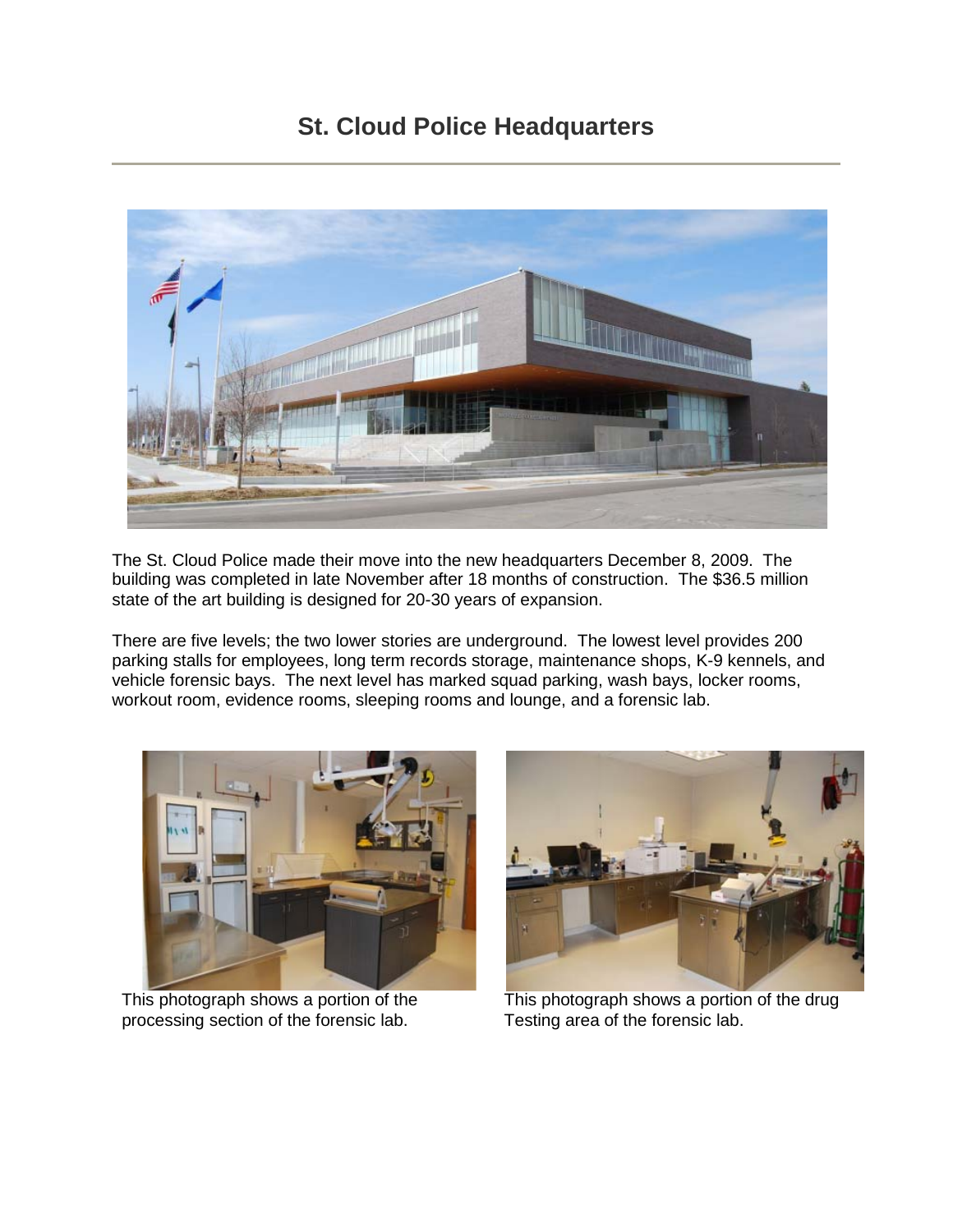## **St. Cloud Police Headquarters**



The St. Cloud Police made their move into the new headquarters December 8, 2009. The building was completed in late November after 18 months of construction. The \$36.5 million state of the art building is designed for 20-30 years of expansion.

There are five levels; the two lower stories are underground. The lowest level provides 200 parking stalls for employees, long term records storage, maintenance shops, K-9 kennels, and vehicle forensic bays. The next level has marked squad parking, wash bays, locker rooms, workout room, evidence rooms, sleeping rooms and lounge, and a forensic lab.



processing section of the forensic lab. Testing area of the forensic lab.



This photograph shows a portion of the This photograph shows a portion of the drug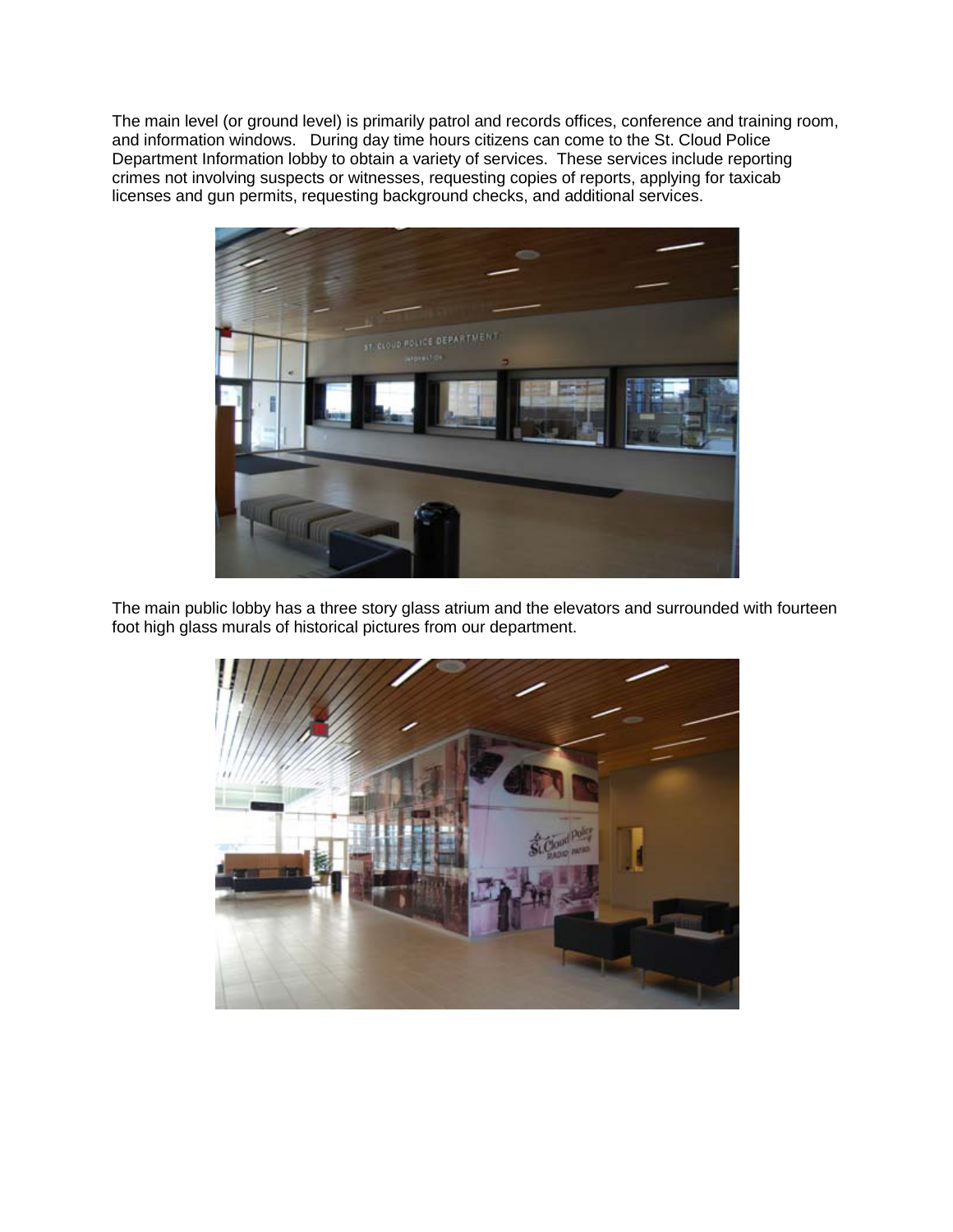The main level (or ground level) is primarily patrol and records offices, conference and training room, and information windows. During day time hours citizens can come to the St. Cloud Police Department Information lobby to obtain a variety of services. These services include reporting crimes not involving suspects or witnesses, requesting copies of reports, applying for taxicab licenses and gun permits, requesting background checks, and additional services.



The main public lobby has a three story glass atrium and the elevators and surrounded with fourteen foot high glass murals of historical pictures from our department.